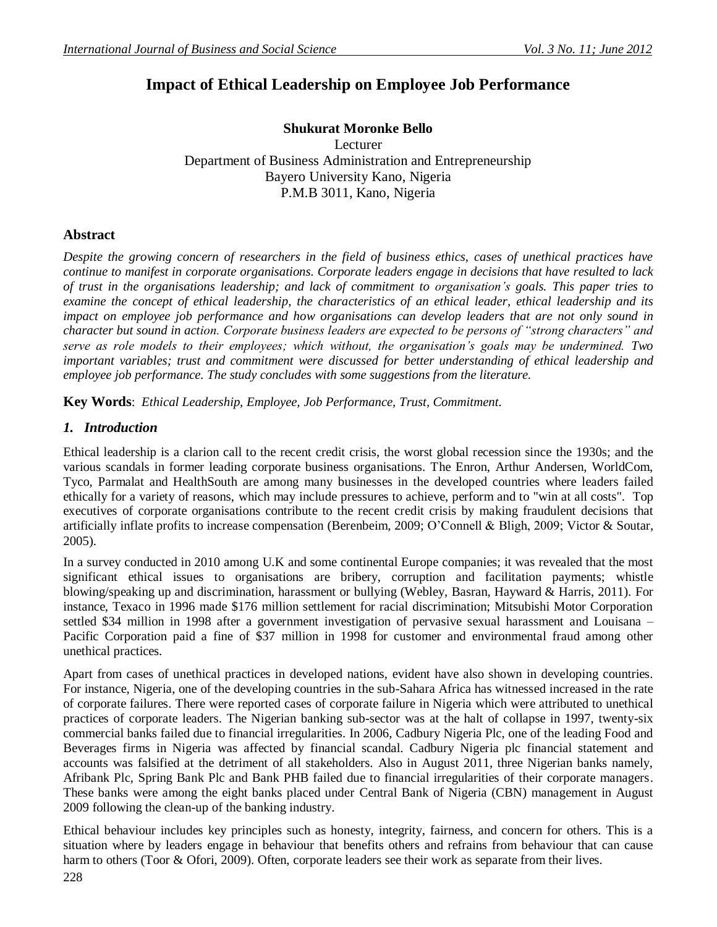# **Impact of Ethical Leadership on Employee Job Performance**

### **Shukurat Moronke Bello** Lecturer

Department of Business Administration and Entrepreneurship Bayero University Kano, Nigeria P.M.B 3011, Kano, Nigeria

# **Abstract**

*Despite the growing concern of researchers in the field of business ethics, cases of unethical practices have continue to manifest in corporate organisations. Corporate leaders engage in decisions that have resulted to lack of trust in the organisations leadership; and lack of commitment to organisation's goals. This paper tries to examine the concept of ethical leadership, the characteristics of an ethical leader, ethical leadership and its impact on employee job performance and how organisations can develop leaders that are not only sound in character but sound in action. Corporate business leaders are expected to be persons of "strong characters" and serve as role models to their employees; which without, the organisation's goals may be undermined. Two important variables; trust and commitment were discussed for better understanding of ethical leadership and employee job performance. The study concludes with some suggestions from the literature.*

**Key Words**: *Ethical Leadership, Employee, Job Performance, Trust, Commitment.*

## *1. Introduction*

Ethical leadership is a clarion call to the recent credit crisis, the worst global recession since the 1930s; and the various scandals in former leading corporate business organisations. The Enron, Arthur Andersen, WorldCom, Tyco, Parmalat and HealthSouth are among many businesses in the developed countries where leaders failed ethically for a variety of reasons, which may include pressures to achieve, perform and to "win at all costs". Top executives of corporate organisations contribute to the recent credit crisis by making fraudulent decisions that artificially inflate profits to increase compensation (Berenbeim, 2009; O"Connell & Bligh, 2009; Victor & Soutar, 2005).

In a survey conducted in 2010 among U.K and some continental Europe companies; it was revealed that the most significant ethical issues to organisations are bribery, corruption and facilitation payments; whistle blowing/speaking up and discrimination, harassment or bullying (Webley, Basran, Hayward & Harris, 2011). For instance, Texaco in 1996 made \$176 million settlement for racial discrimination; Mitsubishi Motor Corporation settled \$34 million in 1998 after a government investigation of pervasive sexual harassment and Louisana – Pacific Corporation paid a fine of \$37 million in 1998 for customer and environmental fraud among other unethical practices.

Apart from cases of unethical practices in developed nations, evident have also shown in developing countries. For instance, Nigeria, one of the developing countries in the sub-Sahara Africa has witnessed increased in the rate of corporate failures. There were reported cases of corporate failure in Nigeria which were attributed to unethical practices of corporate leaders. The Nigerian banking sub-sector was at the halt of collapse in 1997, twenty-six commercial banks failed due to financial irregularities. In 2006, Cadbury Nigeria Plc, one of the leading Food and Beverages firms in Nigeria was affected by financial scandal. Cadbury Nigeria plc financial statement and accounts was falsified at the detriment of all stakeholders. Also in August 2011, three Nigerian banks namely, Afribank Plc, Spring Bank Plc and Bank PHB failed due to financial irregularities of their corporate managers. These banks were among the eight banks placed under Central Bank of Nigeria (CBN) management in August 2009 following the clean-up of the banking industry.

Ethical behaviour includes key principles such as honesty, integrity, fairness, and concern for others. This is a situation where by leaders engage in behaviour that benefits others and refrains from behaviour that can cause harm to others (Toor & Ofori, 2009). Often, corporate leaders see their work as separate from their lives.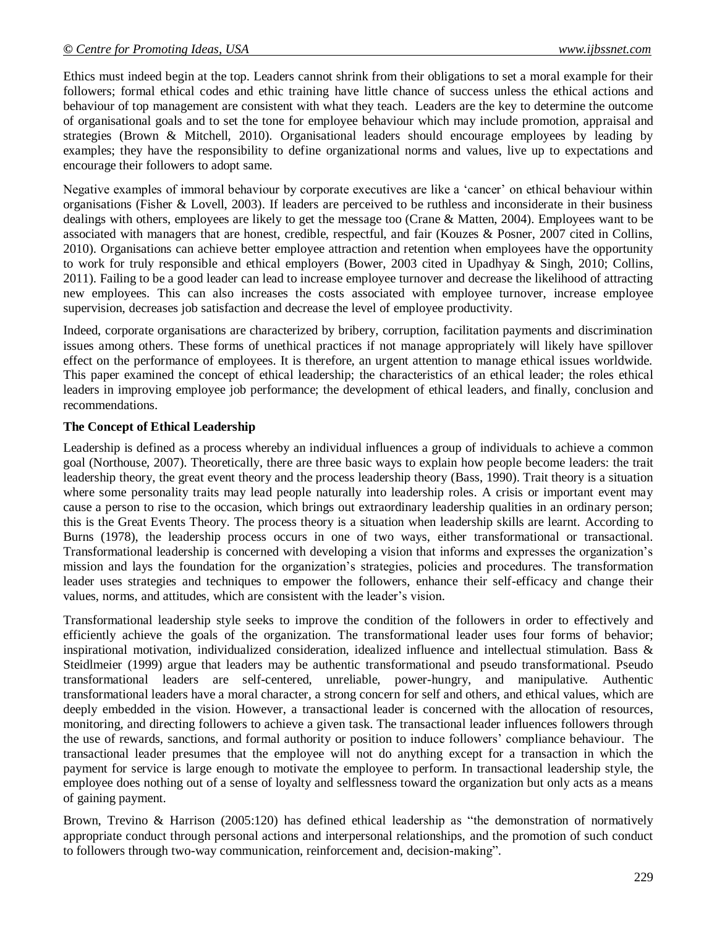Ethics must indeed begin at the top. Leaders cannot shrink from their obligations to set a moral example for their followers; formal ethical codes and ethic training have little chance of success unless the ethical actions and behaviour of top management are consistent with what they teach. Leaders are the key to determine the outcome of organisational goals and to set the tone for employee behaviour which may include promotion, appraisal and strategies (Brown & Mitchell, 2010). Organisational leaders should encourage employees by leading by examples; they have the responsibility to define organizational norms and values, live up to expectations and encourage their followers to adopt same.

Negative examples of immoral behaviour by corporate executives are like a "cancer" on ethical behaviour within organisations (Fisher & Lovell, 2003). If leaders are perceived to be ruthless and inconsiderate in their business dealings with others, employees are likely to get the message too (Crane & Matten, 2004). Employees want to be associated with managers that are honest, credible, respectful, and fair (Kouzes & Posner, 2007 cited in Collins, 2010). Organisations can achieve better employee attraction and retention when employees have the opportunity to work for truly responsible and ethical employers (Bower, 2003 cited in Upadhyay & Singh, 2010; Collins, 2011). Failing to be a good leader can lead to increase employee turnover and decrease the likelihood of attracting new employees. This can also increases the costs associated with employee turnover, increase employee supervision, decreases job satisfaction and decrease the level of employee productivity.

Indeed, corporate organisations are characterized by bribery, corruption, facilitation payments and discrimination issues among others. These forms of unethical practices if not manage appropriately will likely have spillover effect on the performance of employees. It is therefore, an urgent attention to manage ethical issues worldwide. This paper examined the concept of ethical leadership; the characteristics of an ethical leader; the roles ethical leaders in improving employee job performance; the development of ethical leaders, and finally, conclusion and recommendations.

### **The Concept of Ethical Leadership**

Leadership is defined as a process whereby an individual influences a group of individuals to achieve a common goal (Northouse, 2007). Theoretically, there are three basic ways to explain how people become leaders: the trait leadership theory, the great event theory and the process leadership theory (Bass, 1990). Trait theory is a situation where some personality traits may lead people naturally into leadership roles. A crisis or important event may cause a person to rise to the occasion, which brings out extraordinary leadership qualities in an ordinary person; this is the Great Events Theory. The process theory is a situation when leadership skills are learnt. According to Burns (1978), the leadership process occurs in one of two ways, either transformational or transactional. Transformational leadership is concerned with developing a vision that informs and expresses the organization"s mission and lays the foundation for the organization"s strategies, policies and procedures. The transformation leader uses strategies and techniques to empower the followers, enhance their self-efficacy and change their values, norms, and attitudes, which are consistent with the leader"s vision.

Transformational leadership style seeks to improve the condition of the followers in order to effectively and efficiently achieve the goals of the organization. The transformational leader uses four forms of behavior; inspirational motivation, individualized consideration, idealized influence and intellectual stimulation. Bass & Steidlmeier (1999) argue that leaders may be authentic transformational and pseudo transformational. Pseudo transformational leaders are self-centered, unreliable, power-hungry, and manipulative. Authentic transformational leaders have a moral character, a strong concern for self and others, and ethical values, which are deeply embedded in the vision. However, a transactional leader is concerned with the allocation of resources, monitoring, and directing followers to achieve a given task. The transactional leader influences followers through the use of rewards, sanctions, and formal authority or position to induce followers" compliance behaviour. The transactional leader presumes that the employee will not do anything except for a transaction in which the payment for service is large enough to motivate the employee to perform. In transactional leadership style, the employee does nothing out of a sense of loyalty and selflessness toward the organization but only acts as a means of gaining payment.

Brown, Trevino & Harrison (2005:120) has defined ethical leadership as "the demonstration of normatively appropriate conduct through personal actions and interpersonal relationships, and the promotion of such conduct to followers through two-way communication, reinforcement and, decision-making".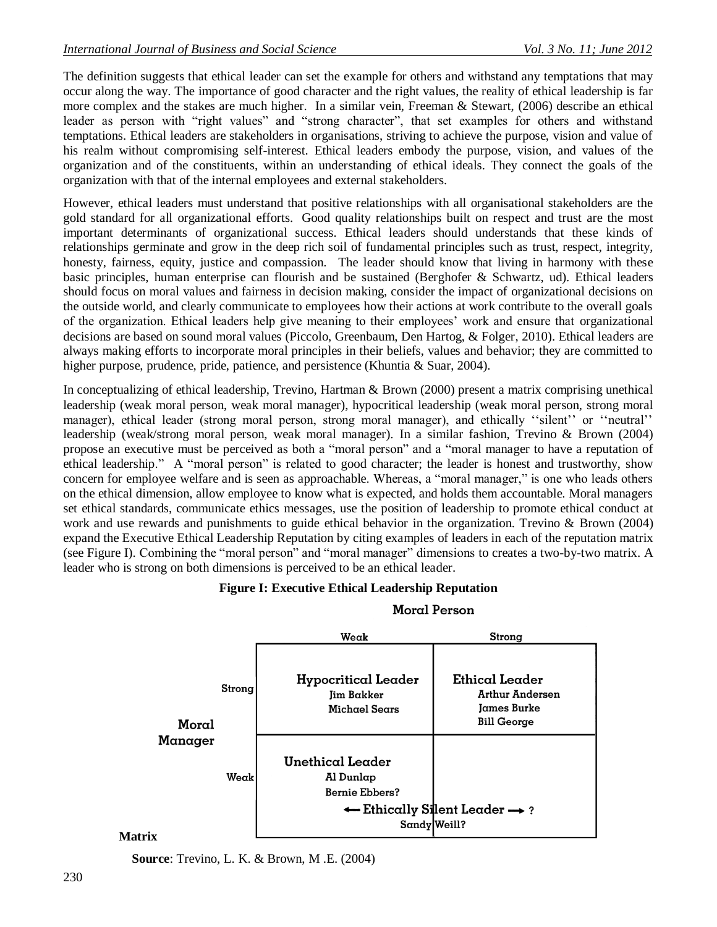The definition suggests that ethical leader can set the example for others and withstand any temptations that may occur along the way. The importance of good character and the right values, the reality of ethical leadership is far more complex and the stakes are much higher. In a similar vein, Freeman & Stewart, (2006) describe an ethical leader as person with "right values" and "strong character", that set examples for others and withstand temptations. Ethical leaders are stakeholders in organisations, striving to achieve the purpose, vision and value of his realm without compromising self-interest. Ethical leaders embody the purpose, vision, and values of the organization and of the constituents, within an understanding of ethical ideals. They connect the goals of the organization with that of the internal employees and external stakeholders.

However, ethical leaders must understand that positive relationships with all organisational stakeholders are the gold standard for all organizational efforts. Good quality relationships built on respect and trust are the most important determinants of organizational success. Ethical leaders should understands that these kinds of relationships germinate and grow in the deep rich soil of fundamental principles such as trust, respect, integrity, honesty, fairness, equity, justice and compassion. The leader should know that living in harmony with these basic principles, human enterprise can flourish and be sustained (Berghofer & Schwartz, ud). Ethical leaders should focus on moral values and fairness in decision making, consider the impact of organizational decisions on the outside world, and clearly communicate to employees how their actions at work contribute to the overall goals of the organization. Ethical leaders help give meaning to their employees' work and ensure that organizational decisions are based on sound moral values (Piccolo, Greenbaum, Den Hartog, & Folger, 2010). Ethical leaders are always making efforts to incorporate moral principles in their beliefs, values and behavior; they are committed to higher purpose, prudence, pride, patience, and persistence (Khuntia & Suar, 2004).

In conceptualizing of ethical leadership, Trevino, Hartman & Brown (2000) present a matrix comprising unethical leadership (weak moral person, weak moral manager), hypocritical leadership (weak moral person, strong moral manager), ethical leader (strong moral person, strong moral manager), and ethically "silent" or "neutral" leadership (weak/strong moral person, weak moral manager). In a similar fashion, Trevino & Brown (2004) propose an executive must be perceived as both a "moral person" and a "moral manager to have a reputation of ethical leadership." A "moral person" is related to good character; the leader is honest and trustworthy, show concern for employee welfare and is seen as approachable. Whereas, a "moral manager," is one who leads others on the ethical dimension, allow employee to know what is expected, and holds them accountable. Moral managers set ethical standards, communicate ethics messages, use the position of leadership to promote ethical conduct at work and use rewards and punishments to guide ethical behavior in the organization. Trevino & Brown (2004) expand the Executive Ethical Leadership Reputation by citing examples of leaders in each of the reputation matrix (see Figure I). Combining the "moral person" and "moral manager" dimensions to creates a two-by-two matrix. A leader who is strong on both dimensions is perceived to be an ethical leader.

### **Figure I: Executive Ethical Leadership Reputation**



### Moral Person

#### **Matrix**

**Source**: Trevino, L. K. & Brown, M .E. (2004)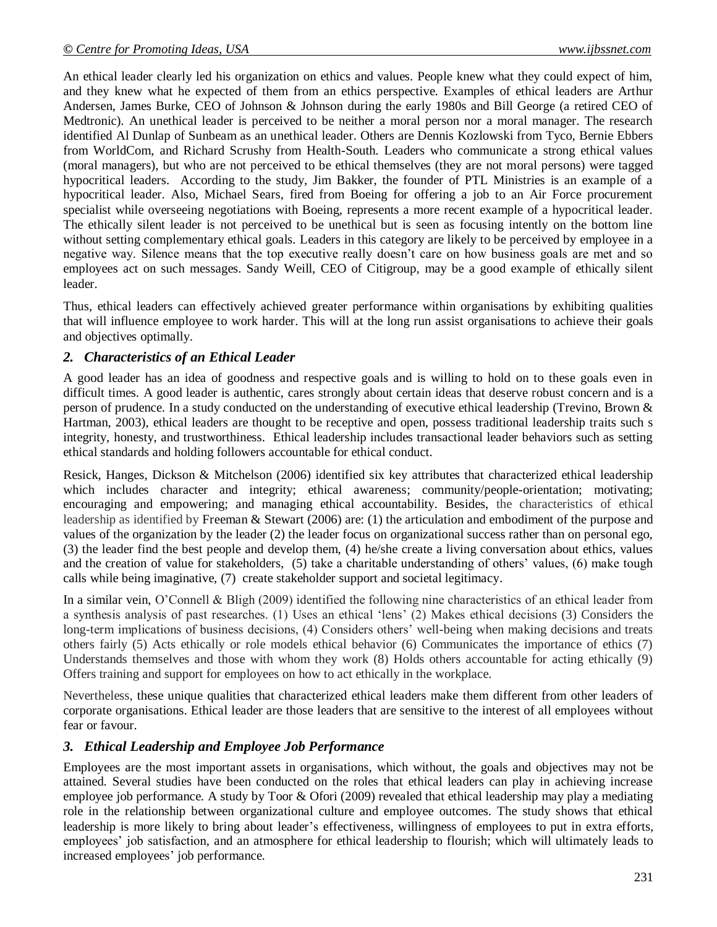An ethical leader clearly led his organization on ethics and values. People knew what they could expect of him, and they knew what he expected of them from an ethics perspective. Examples of ethical leaders are Arthur Andersen, James Burke, CEO of Johnson & Johnson during the early 1980s and Bill George (a retired CEO of Medtronic). An unethical leader is perceived to be neither a moral person nor a moral manager. The research identified Al Dunlap of Sunbeam as an unethical leader. Others are Dennis Kozlowski from Tyco, Bernie Ebbers from WorldCom, and Richard Scrushy from Health-South. Leaders who communicate a strong ethical values (moral managers), but who are not perceived to be ethical themselves (they are not moral persons) were tagged hypocritical leaders. According to the study, Jim Bakker, the founder of PTL Ministries is an example of a hypocritical leader. Also, Michael Sears, fired from Boeing for offering a job to an Air Force procurement specialist while overseeing negotiations with Boeing, represents a more recent example of a hypocritical leader. The ethically silent leader is not perceived to be unethical but is seen as focusing intently on the bottom line without setting complementary ethical goals. Leaders in this category are likely to be perceived by employee in a negative way. Silence means that the top executive really doesn"t care on how business goals are met and so employees act on such messages. Sandy Weill, CEO of Citigroup, may be a good example of ethically silent leader.

Thus, ethical leaders can effectively achieved greater performance within organisations by exhibiting qualities that will influence employee to work harder. This will at the long run assist organisations to achieve their goals and objectives optimally.

# *2. Characteristics of an Ethical Leader*

A good leader has an idea of goodness and respective goals and is willing to hold on to these goals even in difficult times. A good leader is authentic, cares strongly about certain ideas that deserve robust concern and is a person of prudence. In a study conducted on the understanding of executive ethical leadership (Trevino, Brown & Hartman, 2003), ethical leaders are thought to be receptive and open, possess traditional leadership traits such s integrity, honesty, and trustworthiness. Ethical leadership includes transactional leader behaviors such as setting ethical standards and holding followers accountable for ethical conduct.

Resick, Hanges, Dickson & Mitchelson (2006) identified six key attributes that characterized ethical leadership which includes character and integrity; ethical awareness; community/people-orientation; motivating; encouraging and empowering; and managing ethical accountability. Besides, the characteristics of ethical leadership as identified by Freeman & Stewart (2006) are: (1) the articulation and embodiment of the purpose and values of the organization by the leader (2) the leader focus on organizational success rather than on personal ego, (3) the leader find the best people and develop them, (4) he/she create a living conversation about ethics, values and the creation of value for stakeholders, (5) take a charitable understanding of others' values, (6) make tough calls while being imaginative, (7) create stakeholder support and societal legitimacy.

In a similar vein, O"Connell & Bligh (2009) identified the following nine characteristics of an ethical leader from a synthesis analysis of past researches. (1) Uses an ethical "lens" (2) Makes ethical decisions (3) Considers the long-term implications of business decisions, (4) Considers others' well-being when making decisions and treats others fairly (5) Acts ethically or role models ethical behavior (6) Communicates the importance of ethics (7) Understands themselves and those with whom they work (8) Holds others accountable for acting ethically (9) Offers training and support for employees on how to act ethically in the workplace.

Nevertheless, these unique qualities that characterized ethical leaders make them different from other leaders of corporate organisations. Ethical leader are those leaders that are sensitive to the interest of all employees without fear or favour.

# *3. Ethical Leadership and Employee Job Performance*

Employees are the most important assets in organisations, which without, the goals and objectives may not be attained. Several studies have been conducted on the roles that ethical leaders can play in achieving increase employee job performance. A study by Toor & Ofori (2009) revealed that ethical leadership may play a mediating role in the relationship between organizational culture and employee outcomes. The study shows that ethical leadership is more likely to bring about leader"s effectiveness, willingness of employees to put in extra efforts, employees" job satisfaction, and an atmosphere for ethical leadership to flourish; which will ultimately leads to increased employees' job performance.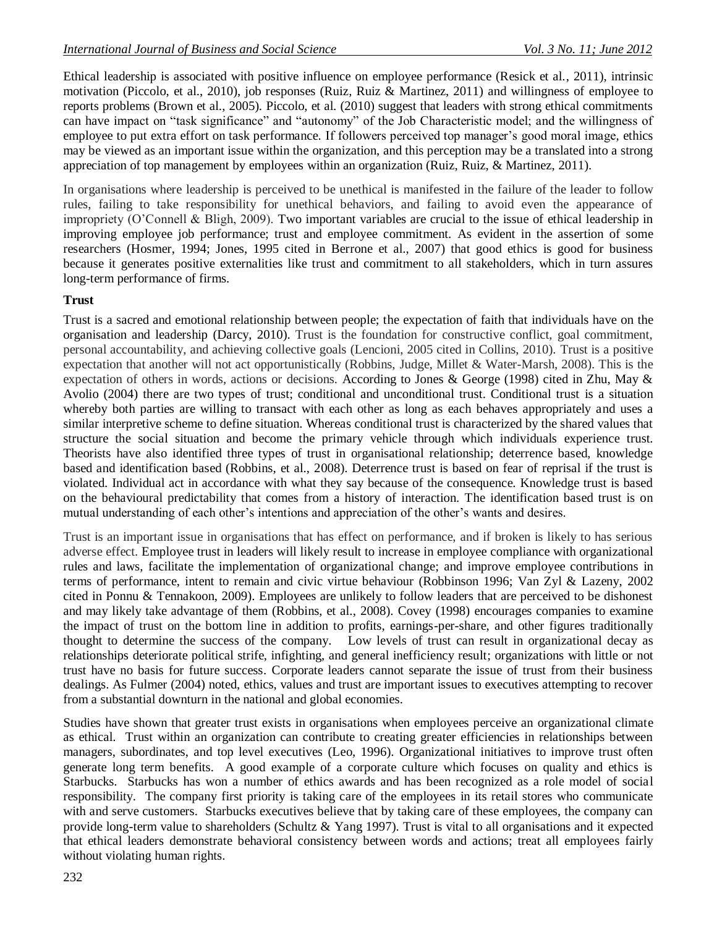Ethical leadership is associated with positive influence on employee performance (Resick et al., 2011), intrinsic motivation (Piccolo, et al., 2010), job responses (Ruiz, Ruiz & Martinez, 2011) and willingness of employee to reports problems (Brown et al., 2005). Piccolo, et al. (2010) suggest that leaders with strong ethical commitments can have impact on "task significance" and "autonomy" of the Job Characteristic model; and the willingness of employee to put extra effort on task performance. If followers perceived top manager's good moral image, ethics may be viewed as an important issue within the organization, and this perception may be a translated into a strong appreciation of top management by employees within an organization (Ruiz, Ruiz, & Martinez, 2011).

In organisations where leadership is perceived to be unethical is manifested in the failure of the leader to follow rules, failing to take responsibility for unethical behaviors, and failing to avoid even the appearance of impropriety (O"Connell & Bligh, 2009). Two important variables are crucial to the issue of ethical leadership in improving employee job performance; trust and employee commitment. As evident in the assertion of some researchers (Hosmer, 1994; Jones, 1995 cited in Berrone et al., 2007) that good ethics is good for business because it generates positive externalities like trust and commitment to all stakeholders, which in turn assures long-term performance of firms.

## **Trust**

Trust is a sacred and emotional relationship between people; the expectation of faith that individuals have on the organisation and leadership (Darcy, 2010). Trust is the foundation for constructive conflict, goal commitment, personal accountability, and achieving collective goals (Lencioni, 2005 cited in Collins, 2010). Trust is a positive expectation that another will not act opportunistically (Robbins, Judge, Millet & Water-Marsh, 2008). This is the expectation of others in words, actions or decisions. According to Jones & George (1998) cited in Zhu, May & Avolio (2004) there are two types of trust; conditional and unconditional trust. Conditional trust is a situation whereby both parties are willing to transact with each other as long as each behaves appropriately and uses a similar interpretive scheme to define situation. Whereas conditional trust is characterized by the shared values that structure the social situation and become the primary vehicle through which individuals experience trust. Theorists have also identified three types of trust in organisational relationship; deterrence based, knowledge based and identification based (Robbins, et al., 2008). Deterrence trust is based on fear of reprisal if the trust is violated. Individual act in accordance with what they say because of the consequence. Knowledge trust is based on the behavioural predictability that comes from a history of interaction. The identification based trust is on mutual understanding of each other"s intentions and appreciation of the other"s wants and desires.

Trust is an important issue in organisations that has effect on performance, and if broken is likely to has serious adverse effect. Employee trust in leaders will likely result to increase in employee compliance with organizational rules and laws, facilitate the implementation of organizational change; and improve employee contributions in terms of performance, intent to remain and civic virtue behaviour (Robbinson 1996; Van Zyl & Lazeny, 2002 cited in Ponnu & Tennakoon, 2009). Employees are unlikely to follow leaders that are perceived to be dishonest and may likely take advantage of them (Robbins, et al., 2008). Covey (1998) encourages companies to examine the impact of trust on the bottom line in addition to profits, earnings-per-share, and other figures traditionally thought to determine the success of the company. Low levels of trust can result in organizational decay as relationships deteriorate political strife, infighting, and general inefficiency result; organizations with little or not trust have no basis for future success. Corporate leaders cannot separate the issue of trust from their business dealings. As Fulmer (2004) noted, ethics, values and trust are important issues to executives attempting to recover from a substantial downturn in the national and global economies.

Studies have shown that greater trust exists in organisations when employees perceive an organizational climate as ethical. Trust within an organization can contribute to creating greater efficiencies in relationships between managers, subordinates, and top level executives (Leo, 1996). Organizational initiatives to improve trust often generate long term benefits. A good example of a corporate culture which focuses on quality and ethics is Starbucks. Starbucks has won a number of ethics awards and has been recognized as a role model of social responsibility. The company first priority is taking care of the employees in its retail stores who communicate with and serve customers. Starbucks executives believe that by taking care of these employees, the company can provide long-term value to shareholders (Schultz  $&$  Yang 1997). Trust is vital to all organisations and it expected that ethical leaders demonstrate behavioral consistency between words and actions; treat all employees fairly without violating human rights.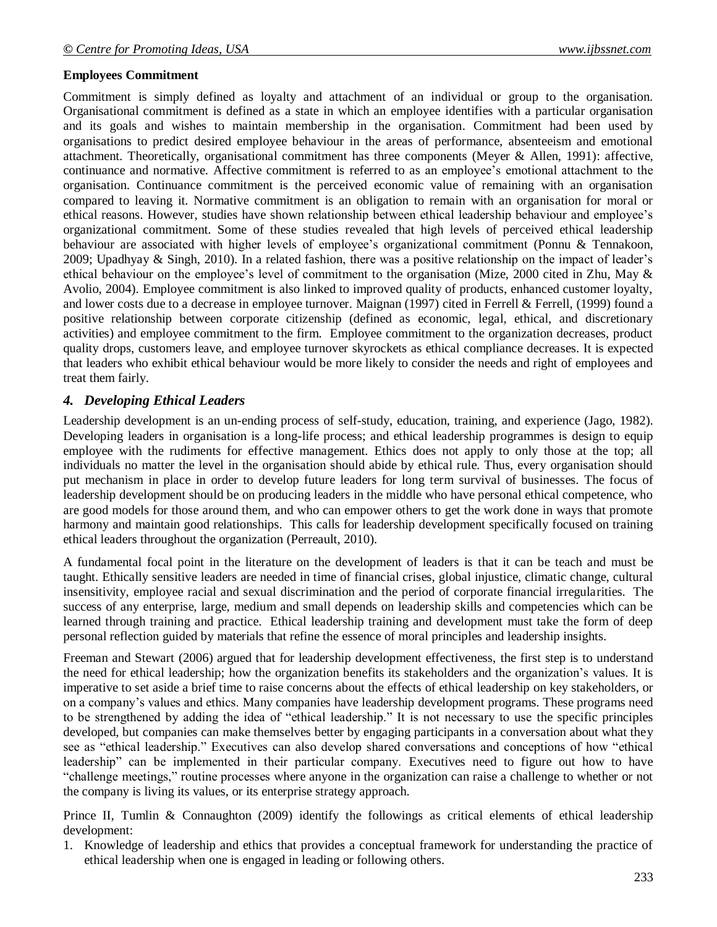### **Employees Commitment**

Commitment is simply defined as loyalty and attachment of an individual or group to the organisation. Organisational commitment is defined as a state in which an employee identifies with a particular organisation and its goals and wishes to maintain membership in the organisation. Commitment had been used by organisations to predict desired employee behaviour in the areas of performance, absenteeism and emotional attachment. Theoretically, organisational commitment has three components (Meyer & Allen, 1991): affective, continuance and normative. Affective commitment is referred to as an employee's emotional attachment to the organisation. Continuance commitment is the perceived economic value of remaining with an organisation compared to leaving it. Normative commitment is an obligation to remain with an organisation for moral or ethical reasons. However, studies have shown relationship between ethical leadership behaviour and employee"s organizational commitment. Some of these studies revealed that high levels of perceived ethical leadership behaviour are associated with higher levels of employee's organizational commitment (Ponnu & Tennakoon, 2009; Upadhyay & Singh, 2010). In a related fashion, there was a positive relationship on the impact of leader's ethical behaviour on the employee"s level of commitment to the organisation (Mize, 2000 cited in Zhu, May & Avolio, 2004). Employee commitment is also linked to improved quality of products, enhanced customer loyalty, and lower costs due to a decrease in employee turnover. Maignan (1997) cited in Ferrell & Ferrell, (1999) found a positive relationship between corporate citizenship (defined as economic, legal, ethical, and discretionary activities) and employee commitment to the firm. Employee commitment to the organization decreases, product quality drops, customers leave, and employee turnover skyrockets as ethical compliance decreases. It is expected that leaders who exhibit ethical behaviour would be more likely to consider the needs and right of employees and treat them fairly.

### *4. Developing Ethical Leaders*

Leadership development is an un-ending process of self-study, education, training, and experience (Jago, 1982). Developing leaders in organisation is a long-life process; and ethical leadership programmes is design to equip employee with the rudiments for effective management. Ethics does not apply to only those at the top; all individuals no matter the level in the organisation should abide by ethical rule. Thus, every organisation should put mechanism in place in order to develop future leaders for long term survival of businesses. The focus of leadership development should be on producing leaders in the middle who have personal ethical competence, who are good models for those around them, and who can empower others to get the work done in ways that promote harmony and maintain good relationships. This calls for leadership development specifically focused on training ethical leaders throughout the organization (Perreault, 2010).

A fundamental focal point in the literature on the development of leaders is that it can be teach and must be taught. Ethically sensitive leaders are needed in time of financial crises, global injustice, climatic change, cultural insensitivity, employee racial and sexual discrimination and the period of corporate financial irregularities. The success of any enterprise, large, medium and small depends on leadership skills and competencies which can be learned through training and practice. Ethical leadership training and development must take the form of deep personal reflection guided by materials that refine the essence of moral principles and leadership insights.

Freeman and Stewart (2006) argued that for leadership development effectiveness, the first step is to understand the need for ethical leadership; how the organization benefits its stakeholders and the organization"s values. It is imperative to set aside a brief time to raise concerns about the effects of ethical leadership on key stakeholders, or on a company"s values and ethics. Many companies have leadership development programs. These programs need to be strengthened by adding the idea of "ethical leadership." It is not necessary to use the specific principles developed, but companies can make themselves better by engaging participants in a conversation about what they see as "ethical leadership." Executives can also develop shared conversations and conceptions of how "ethical leadership" can be implemented in their particular company. Executives need to figure out how to have "challenge meetings," routine processes where anyone in the organization can raise a challenge to whether or not the company is living its values, or its enterprise strategy approach.

Prince II, Tumlin & Connaughton (2009) identify the followings as critical elements of ethical leadership development:

1. Knowledge of leadership and ethics that provides a conceptual framework for understanding the practice of ethical leadership when one is engaged in leading or following others.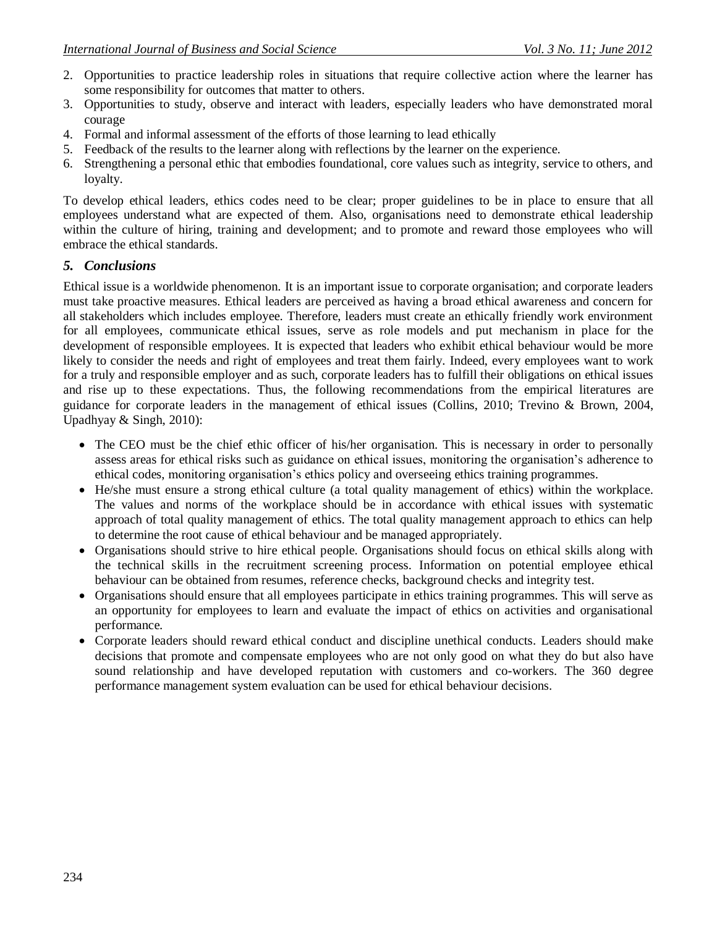- 2. Opportunities to practice leadership roles in situations that require collective action where the learner has some responsibility for outcomes that matter to others.
- 3. Opportunities to study, observe and interact with leaders, especially leaders who have demonstrated moral courage
- 4. Formal and informal assessment of the efforts of those learning to lead ethically
- 5. Feedback of the results to the learner along with reflections by the learner on the experience.
- 6. Strengthening a personal ethic that embodies foundational, core values such as integrity, service to others, and loyalty.

To develop ethical leaders, ethics codes need to be clear; proper guidelines to be in place to ensure that all employees understand what are expected of them. Also, organisations need to demonstrate ethical leadership within the culture of hiring, training and development; and to promote and reward those employees who will embrace the ethical standards.

### *5. Conclusions*

Ethical issue is a worldwide phenomenon. It is an important issue to corporate organisation; and corporate leaders must take proactive measures. Ethical leaders are perceived as having a broad ethical awareness and concern for all stakeholders which includes employee. Therefore, leaders must create an ethically friendly work environment for all employees, communicate ethical issues, serve as role models and put mechanism in place for the development of responsible employees. It is expected that leaders who exhibit ethical behaviour would be more likely to consider the needs and right of employees and treat them fairly. Indeed, every employees want to work for a truly and responsible employer and as such, corporate leaders has to fulfill their obligations on ethical issues and rise up to these expectations. Thus, the following recommendations from the empirical literatures are guidance for corporate leaders in the management of ethical issues (Collins, 2010; Trevino & Brown, 2004, Upadhyay & Singh, 2010):

- The CEO must be the chief ethic officer of his/her organisation. This is necessary in order to personally assess areas for ethical risks such as guidance on ethical issues, monitoring the organisation"s adherence to ethical codes, monitoring organisation"s ethics policy and overseeing ethics training programmes.
- He/she must ensure a strong ethical culture (a total quality management of ethics) within the workplace. The values and norms of the workplace should be in accordance with ethical issues with systematic approach of total quality management of ethics. The total quality management approach to ethics can help to determine the root cause of ethical behaviour and be managed appropriately.
- Organisations should strive to hire ethical people. Organisations should focus on ethical skills along with the technical skills in the recruitment screening process. Information on potential employee ethical behaviour can be obtained from resumes, reference checks, background checks and integrity test.
- Organisations should ensure that all employees participate in ethics training programmes. This will serve as an opportunity for employees to learn and evaluate the impact of ethics on activities and organisational performance.
- Corporate leaders should reward ethical conduct and discipline unethical conducts. Leaders should make decisions that promote and compensate employees who are not only good on what they do but also have sound relationship and have developed reputation with customers and co-workers. The 360 degree performance management system evaluation can be used for ethical behaviour decisions.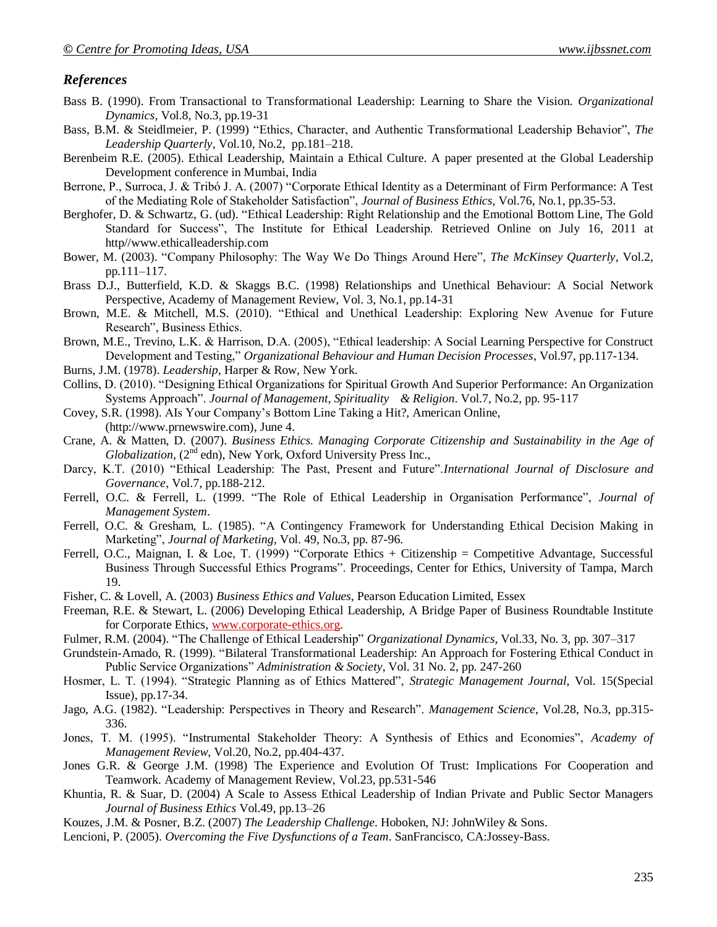### *References*

- Bass B. (1990). From Transactional to Transformational Leadership: Learning to Share the Vision. *Organizational Dynamics*, Vol.8, No.3, pp.19-31
- Bass, B.M. & Steidlmeier, P. (1999) "Ethics, Character, and Authentic Transformational Leadership Behavior", *The Leadership Quarterly*, Vol.10, No.2, pp.181–218.
- Berenbeim R.E. (2005). Ethical Leadership, Maintain a Ethical Culture. A paper presented at the Global Leadership Development conference in Mumbai, India
- Berrone, P., Surroca, J. & Tribó J. A. (2007) "Corporate Ethical Identity as a Determinant of Firm Performance: A Test of the Mediating Role of Stakeholder Satisfaction", *Journal of Business Ethics,* Vol.76, No.1, pp.35-53.
- Berghofer, D. & Schwartz, G. (ud). "Ethical Leadership: Right Relationship and the Emotional Bottom Line, The Gold Standard for Success", The Institute for Ethical Leadership. Retrieved Online on July 16, 2011 at http//www.ethicalleadership.com
- Bower, M. (2003). "Company Philosophy: The Way We Do Things Around Here", *The McKinsey Quarterly*, Vol.2, pp.111–117.
- Brass D.J., Butterfield, K.D. & Skaggs B.C. (1998) Relationships and Unethical Behaviour: A Social Network Perspective, Academy of Management Review, Vol. 3, No.1, pp.14-31
- Brown, M.E. & Mitchell, M.S. (2010). "Ethical and Unethical Leadership: Exploring New Avenue for Future Research", Business Ethics.
- Brown, M.E., Trevino, L.K. & Harrison, D.A. (2005), "Ethical leadership: A Social Learning Perspective for Construct Development and Testing," *Organizational Behaviour and Human Decision Processes*, Vol.97, pp.117-134.
- Burns, J.M. (1978). *Leadership*, Harper & Row, New York.
- Collins, D. (2010). "Designing Ethical Organizations for Spiritual Growth And Superior Performance: An Organization Systems Approach". *Journal of Management, Spirituality & Religion*. Vol.7, No.2, pp. 95-117
- Covey, S.R. (1998). AIs Your Company"s Bottom Line Taking a Hit?, American Online, (http://www.prnewswire.com), June 4.
- Crane, A. & Matten, D. (2007). *Business Ethics. Managing Corporate Citizenship and Sustainability in the Age of*  Globalization, (2<sup>nd</sup> edn), New York, Oxford University Press Inc.,
- Darcy, K.T. (2010) "Ethical Leadership: The Past, Present and Future".*International Journal of Disclosure and Governance*, Vol.7, pp.188-212.
- Ferrell, O.C. & Ferrell, L. (1999. "The Role of Ethical Leadership in Organisation Performance", *Journal of Management System*.
- Ferrell, O.C. & Gresham, L. (1985). "A Contingency Framework for Understanding Ethical Decision Making in Marketing", *Journal of Marketing*, Vol. 49, No.3, pp. 87-96.
- Ferrell, O.C., Maignan, I. & Loe, T. (1999) "Corporate Ethics + Citizenship = Competitive Advantage, Successful Business Through Successful Ethics Programs". Proceedings, Center for Ethics, University of Tampa, March 19.
- Fisher, C. & Lovell, A. (2003) *Business Ethics and Values*, Pearson Education Limited, Essex
- Freeman, R.E. & Stewart, L. (2006) Developing Ethical Leadership, A Bridge Paper of Business Roundtable Institute for Corporate Ethics, [www.corporate-ethics.org.](http://www.corporate-ethics.org/)
- Fulmer, R.M. (2004). "The Challenge of Ethical Leadership" *Organizational Dynamics,* Vol.33, No. 3, pp. 307–317
- Grundstein-Amado, R. (1999). "Bilateral Transformational Leadership: An Approach for Fostering Ethical Conduct in Public Service Organizations" *Administration & Society*, Vol. 31 No. 2, pp. 247-260
- Hosmer, L. T. (1994). "Strategic Planning as of Ethics Mattered", *Strategic Management Journal*, Vol. 15(Special Issue), pp.17-34.
- Jago, A.G. (1982). "Leadership: Perspectives in Theory and Research". *Management Science*, Vol.28, No.3, pp.315- 336.
- Jones, T. M. (1995). "Instrumental Stakeholder Theory: A Synthesis of Ethics and Economies", *Academy of Management Review,* Vol.20, No.2, pp.404-437.
- Jones G.R. & George J.M. (1998) The Experience and Evolution Of Trust: Implications For Cooperation and Teamwork. Academy of Management Review, Vol.23, pp.531-546
- Khuntia, R. & Suar, D. (2004) A Scale to Assess Ethical Leadership of Indian Private and Public Sector Managers *Journal of Business Ethics* Vol.49, pp.13–26
- Kouzes, J.M. & Posner, B.Z. (2007) *The Leadership Challenge.* Hoboken, NJ: JohnWiley & Sons.
- Lencioni, P. (2005). *Overcoming the Five Dysfunctions of a Team*. SanFrancisco, CA:Jossey-Bass.